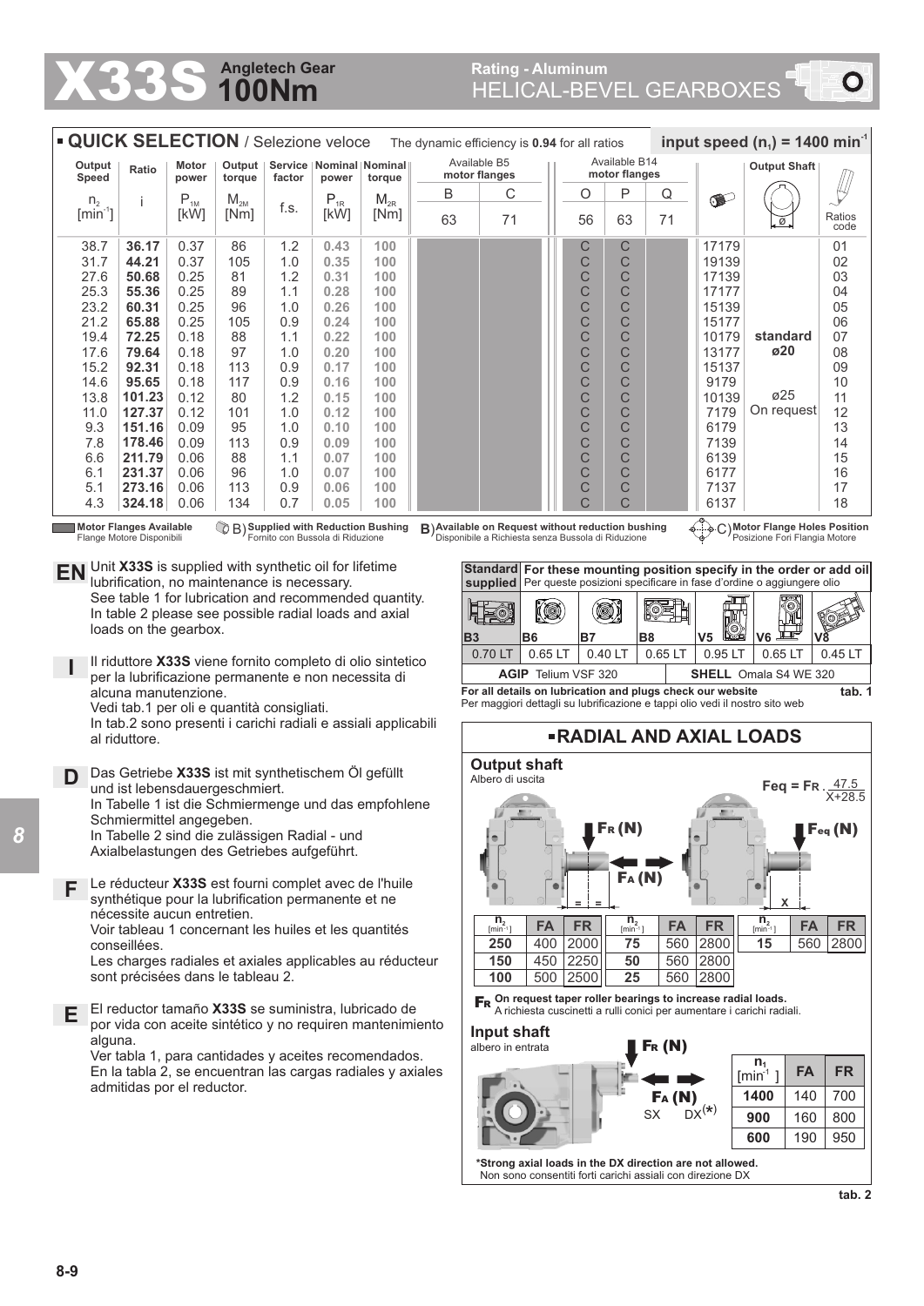## **100Nm Angletech Gear X33S Angletech Gear** Rating - Aluminum **Rating - Aluminum** Rating - Aluminum **Rating - Aluminum**

| <b>QUICK SELECTION / Selezione veloce</b><br>input speed (n <sub>1</sub> ) = 1400 min <sup>-1</sup><br>The dynamic efficiency is 0.94 for all ratios                                                                                                                                     |                                                                                                                                  |                            |                                                                                      |            |                                                                                                                                                    |                    |                               |                                |                |                                |                        |           |                                                                                                                        |                                                                              |                |  |  |  |
|------------------------------------------------------------------------------------------------------------------------------------------------------------------------------------------------------------------------------------------------------------------------------------------|----------------------------------------------------------------------------------------------------------------------------------|----------------------------|--------------------------------------------------------------------------------------|------------|----------------------------------------------------------------------------------------------------------------------------------------------------|--------------------|-------------------------------|--------------------------------|----------------|--------------------------------|------------------------|-----------|------------------------------------------------------------------------------------------------------------------------|------------------------------------------------------------------------------|----------------|--|--|--|
| Output<br>Speed                                                                                                                                                                                                                                                                          | <b>Ratio</b>                                                                                                                     | Motor<br>power             | Output $ $<br>torque                                                                 | factor     | Service   Nominal   Nominal                                                                                                                        |                    | Available B5<br>motor flanges |                                |                | Available B14<br>motor flanges |                        |           | <b>Output Shaft</b>                                                                                                    |                                                                              |                |  |  |  |
| n <sub>2</sub>                                                                                                                                                                                                                                                                           | j                                                                                                                                | $\mathsf{P}_{\textsc{1M}}$ | $M_{2M}$                                                                             |            | power<br>$\mathsf{P}_{\text{\tiny 1R}}$                                                                                                            | torque<br>$M_{2R}$ | B                             | С                              |                |                                | Ρ<br>O                 | Q         | (T                                                                                                                     |                                                                              |                |  |  |  |
| $[min^{-1}]$                                                                                                                                                                                                                                                                             |                                                                                                                                  | [kW]                       | [Nm]                                                                                 | f.s.       | [kW]                                                                                                                                               | [Nm]               | 63                            | 71                             |                |                                | 63<br>56               | 71        |                                                                                                                        |                                                                              | Ratios<br>code |  |  |  |
| 38.7<br>31.7                                                                                                                                                                                                                                                                             | 36.17<br>44.21                                                                                                                   | 0.37<br>0.37               | 86<br>105                                                                            | 1.2<br>1.0 | 0.43<br>0.35                                                                                                                                       | 100<br>100         |                               |                                |                |                                | C<br>С<br>C<br>C       |           | 17179<br>19139                                                                                                         |                                                                              | 01<br>02       |  |  |  |
| 27.6                                                                                                                                                                                                                                                                                     | 50.68                                                                                                                            | 0.25                       | 81                                                                                   | 1.2        | 0.31                                                                                                                                               | 100                |                               |                                |                |                                | C<br>С                 |           | 17139                                                                                                                  |                                                                              | 03             |  |  |  |
| 25.3                                                                                                                                                                                                                                                                                     | 55.36                                                                                                                            | 0.25                       | 89                                                                                   | 1.1        | 0.28                                                                                                                                               | 100                |                               |                                |                |                                | C<br>C                 |           | 17177                                                                                                                  |                                                                              | 04             |  |  |  |
| 23.2                                                                                                                                                                                                                                                                                     | 60.31                                                                                                                            | 0.25                       | 96                                                                                   | 1.0        | 0.26                                                                                                                                               | 100                |                               |                                |                |                                | C<br>С                 |           | 15139                                                                                                                  |                                                                              | 05             |  |  |  |
| 21.2                                                                                                                                                                                                                                                                                     | 65.88                                                                                                                            | 0.25                       | 105                                                                                  | 0.9        | 0.24                                                                                                                                               | 100                |                               |                                |                |                                | C<br>C                 |           | 15177                                                                                                                  |                                                                              | 06             |  |  |  |
| 19.4                                                                                                                                                                                                                                                                                     | 72.25                                                                                                                            | 0.18                       | 88                                                                                   | 1.1        | 0.22                                                                                                                                               | 100                |                               |                                |                |                                | С<br>С                 |           | 10179                                                                                                                  | standard                                                                     | 07             |  |  |  |
| 17.6                                                                                                                                                                                                                                                                                     | 79.64                                                                                                                            | 0.18                       | 97                                                                                   | 1.0        | 0.20                                                                                                                                               | 100                |                               |                                |                |                                | C<br>C                 |           | 13177                                                                                                                  | ø20                                                                          | 08             |  |  |  |
| 15.2<br>14.6                                                                                                                                                                                                                                                                             | 92.31<br>95.65                                                                                                                   | 0.18<br>0.18               | 113<br>117                                                                           | 0.9<br>0.9 | 0.17<br>0.16                                                                                                                                       | 100<br>100         |                               |                                |                | C                              | C<br>C<br>C            |           | 15137<br>9179                                                                                                          |                                                                              | 09<br>10       |  |  |  |
| 13.8                                                                                                                                                                                                                                                                                     | 101.23                                                                                                                           | 0.12                       | 80                                                                                   | 1.2        | 0.15                                                                                                                                               | 100                |                               |                                |                |                                | C<br>C                 |           | 10139                                                                                                                  | ø25                                                                          | 11             |  |  |  |
| 11.0                                                                                                                                                                                                                                                                                     | 127.37                                                                                                                           | 0.12                       | 101                                                                                  | 1.0        | 0.12                                                                                                                                               | 100                |                               |                                |                |                                | C<br>C                 |           | 7179                                                                                                                   | On request                                                                   | 12             |  |  |  |
| 9.3                                                                                                                                                                                                                                                                                      | 151.16                                                                                                                           | 0.09                       | 95                                                                                   | 1.0        | 0.10                                                                                                                                               | 100                |                               |                                |                |                                | C<br>С                 |           | 6179                                                                                                                   |                                                                              | 13             |  |  |  |
| 7.8                                                                                                                                                                                                                                                                                      | 178.46                                                                                                                           | 0.09                       | 113                                                                                  | 0.9        | 0.09                                                                                                                                               | 100                |                               |                                |                |                                | C<br>C                 |           | 7139                                                                                                                   |                                                                              | 14             |  |  |  |
| 6.6                                                                                                                                                                                                                                                                                      | 211.79                                                                                                                           | 0.06                       | 88                                                                                   | 1.1        | 0.07                                                                                                                                               | 100                |                               |                                |                |                                | C<br>С                 |           | 6139                                                                                                                   |                                                                              | 15             |  |  |  |
| 6.1                                                                                                                                                                                                                                                                                      | 231.37                                                                                                                           | 0.06                       | 96                                                                                   | 1.0        | 0.07                                                                                                                                               | 100                |                               |                                |                |                                | С<br>С                 |           | 6177                                                                                                                   |                                                                              | 16             |  |  |  |
| 5.1<br>4.3                                                                                                                                                                                                                                                                               | 273.16                                                                                                                           | 0.06<br>0.06               | 113<br>134                                                                           | 0.9<br>0.7 | 0.06<br>0.05                                                                                                                                       | 100<br>100         |                               |                                |                |                                | C<br>C<br>C            |           | 7137<br>6137                                                                                                           |                                                                              | 17<br>18       |  |  |  |
| 324.18<br>C.<br><b>Motor Flanges Available</b><br>C B) Supplied with Reduction Bushing<br>B) Available on Request without reduction bushing<br>C) Motor Flange Holes Position                                                                                                            |                                                                                                                                  |                            |                                                                                      |            |                                                                                                                                                    |                    |                               |                                |                |                                |                        |           |                                                                                                                        |                                                                              |                |  |  |  |
| Fornito con Bussola di Riduzione<br>Flange Motore Disponibili<br>Disponibile a Richiesta senza Bussola di Riduzione<br>Posizione Fori Flangia Motore<br>Unit X33S is supplied with synthetic oil for lifetime<br>Standard<br>For these mounting position specify in the order or add oil |                                                                                                                                  |                            |                                                                                      |            |                                                                                                                                                    |                    |                               |                                |                |                                |                        |           |                                                                                                                        |                                                                              |                |  |  |  |
| EN<br>lubrification, no maintenance is necessary.                                                                                                                                                                                                                                        |                                                                                                                                  |                            |                                                                                      |            |                                                                                                                                                    |                    |                               |                                |                |                                |                        |           |                                                                                                                        | supplied Per queste posizioni specificare in fase d'ordine o aggiungere olio |                |  |  |  |
| See table 1 for lubrication and recommended quantity.<br>In table 2 please see possible radial loads and axial                                                                                                                                                                           |                                                                                                                                  |                            |                                                                                      |            |                                                                                                                                                    |                    |                               | FØ                             | (O)            |                                | o)                     |           |                                                                                                                        |                                                                              |                |  |  |  |
|                                                                                                                                                                                                                                                                                          | loads on the gearbox.                                                                                                            |                            |                                                                                      |            |                                                                                                                                                    |                    |                               |                                |                |                                |                        |           | <u>koz</u>                                                                                                             |                                                                              |                |  |  |  |
|                                                                                                                                                                                                                                                                                          |                                                                                                                                  |                            |                                                                                      |            |                                                                                                                                                    |                    |                               | <b>B3</b><br>0.70 LT           | B <sub>6</sub> |                                | <b>B7</b>              | <b>B8</b> | V <sub>5</sub>                                                                                                         | V6                                                                           | V8             |  |  |  |
| Il riduttore X33S viene fornito completo di olio sintetico                                                                                                                                                                                                                               |                                                                                                                                  |                            |                                                                                      |            |                                                                                                                                                    |                    |                               |                                | 0.65 LT        |                                | 0.40 LT                | 0.65 LT   | 0.95 LT                                                                                                                | $0.65$ LT                                                                    | 0.45 LT        |  |  |  |
| <b>AGIP</b> Telium VSF 320<br><b>SHELL</b> Omala S4 WE 320<br>per la lubrificazione permanente e non necessita di                                                                                                                                                                        |                                                                                                                                  |                            |                                                                                      |            |                                                                                                                                                    |                    |                               |                                |                |                                |                        |           |                                                                                                                        |                                                                              |                |  |  |  |
| For all details on lubrication and plugs check our website<br>alcuna manutenzione.<br>Per maggiori dettagli su lubrificazione e tappi olio vedi il nostro sito web                                                                                                                       |                                                                                                                                  |                            |                                                                                      |            |                                                                                                                                                    |                    |                               |                                |                |                                |                        | tab. 1    |                                                                                                                        |                                                                              |                |  |  |  |
| Vedi tab.1 per oli e quantità consigliati.<br>In tab.2 sono presenti i carichi radiali e assiali applicabili                                                                                                                                                                             |                                                                                                                                  |                            |                                                                                      |            |                                                                                                                                                    |                    |                               | <b>-RADIAL AND AXIAL LOADS</b> |                |                                |                        |           |                                                                                                                        |                                                                              |                |  |  |  |
|                                                                                                                                                                                                                                                                                          | al riduttore.                                                                                                                    |                            |                                                                                      |            |                                                                                                                                                    |                    |                               |                                |                |                                | <b>Output shaft</b>    |           |                                                                                                                        |                                                                              |                |  |  |  |
| D                                                                                                                                                                                                                                                                                        |                                                                                                                                  |                            | Das Getriebe X33S ist mit synthetischem Öl gefüllt<br>und ist lebensdauergeschmiert. |            |                                                                                                                                                    |                    |                               | Albero di uscita               |                |                                |                        |           |                                                                                                                        | $Feq = Fr$                                                                   |                |  |  |  |
|                                                                                                                                                                                                                                                                                          |                                                                                                                                  |                            | In Tabelle 1 ist die Schmiermenge und das empfohlene                                 |            |                                                                                                                                                    |                    |                               |                                |                |                                |                        |           |                                                                                                                        |                                                                              |                |  |  |  |
|                                                                                                                                                                                                                                                                                          |                                                                                                                                  |                            |                                                                                      |            |                                                                                                                                                    |                    |                               |                                |                |                                |                        |           |                                                                                                                        |                                                                              |                |  |  |  |
| Schmiermittel angegeben.<br>$\mathsf{F}_{\mathsf{R}}\left(\mathsf{N}\right)$<br>$\mathsf{F}_{\text{\textup{eq}}} \left( \mathsf{N} \right)$<br>In Tabelle 2 sind die zulässigen Radial - und                                                                                             |                                                                                                                                  |                            |                                                                                      |            |                                                                                                                                                    |                    |                               |                                |                |                                |                        |           |                                                                                                                        |                                                                              |                |  |  |  |
|                                                                                                                                                                                                                                                                                          |                                                                                                                                  |                            | Axialbelastungen des Getriebes aufgeführt.                                           |            |                                                                                                                                                    |                    |                               |                                |                |                                |                        |           |                                                                                                                        |                                                                              |                |  |  |  |
|                                                                                                                                                                                                                                                                                          |                                                                                                                                  |                            |                                                                                      |            |                                                                                                                                                    |                    |                               | FA(M)                          |                |                                |                        |           |                                                                                                                        |                                                                              |                |  |  |  |
| F                                                                                                                                                                                                                                                                                        |                                                                                                                                  |                            | Le réducteur X33S est fourni complet avec de l'huile                                 |            |                                                                                                                                                    |                    |                               |                                |                |                                |                        |           |                                                                                                                        | $\bullet$                                                                    |                |  |  |  |
|                                                                                                                                                                                                                                                                                          |                                                                                                                                  |                            | synthétique pour la lubrification permanente et ne                                   |            |                                                                                                                                                    |                    |                               |                                |                |                                |                        |           |                                                                                                                        |                                                                              |                |  |  |  |
|                                                                                                                                                                                                                                                                                          | nécessite aucun entretien.                                                                                                       |                            | Voir tableau 1 concernant les huiles et les quantités                                |            |                                                                                                                                                    |                    |                               | $\frac{n_2}{[\text{min-1}]}$   | <b>FA</b>      | <b>FR</b>                      | $\frac{n_2}{[\min 1]}$ | <b>FA</b> | <b>FR</b>                                                                                                              | $\frac{n_2}{[\min 1]}$<br><b>FA</b>                                          | <b>FR</b>      |  |  |  |
|                                                                                                                                                                                                                                                                                          | conseillées.                                                                                                                     |                            |                                                                                      |            |                                                                                                                                                    |                    |                               | 250                            | 400            | 2000                           | 75                     | 560       | 2800                                                                                                                   | 560<br>15                                                                    | 2800           |  |  |  |
|                                                                                                                                                                                                                                                                                          |                                                                                                                                  |                            | Les charges radiales et axiales applicables au réducteur                             |            |                                                                                                                                                    |                    |                               | 150                            | 450            | 2250                           | 50                     | 560       | 2800                                                                                                                   |                                                                              |                |  |  |  |
|                                                                                                                                                                                                                                                                                          |                                                                                                                                  |                            | sont précisées dans le tableau 2.                                                    |            |                                                                                                                                                    |                    |                               | 100                            | 500            | 2500                           | 25                     | 560       | 2800                                                                                                                   |                                                                              |                |  |  |  |
|                                                                                                                                                                                                                                                                                          |                                                                                                                                  |                            |                                                                                      |            | $\mathsf{Fr}$ On request taper roller bearings to increase radial loads.<br>A richiesta cuscinetti a rulli conici per aumentare i carichi radiali. |                    |                               |                                |                |                                |                        |           |                                                                                                                        |                                                                              |                |  |  |  |
|                                                                                                                                                                                                                                                                                          | El reductor tamaño X33S se suministra, lubricado de<br>Е<br>por vida con aceite sintético y no requiren mantenimiento<br>alguna. |                            |                                                                                      |            |                                                                                                                                                    |                    |                               |                                |                |                                | Input shaft            |           |                                                                                                                        |                                                                              |                |  |  |  |
|                                                                                                                                                                                                                                                                                          |                                                                                                                                  |                            |                                                                                      |            |                                                                                                                                                    |                    |                               |                                |                |                                |                        | $F_R(N)$  |                                                                                                                        |                                                                              |                |  |  |  |
|                                                                                                                                                                                                                                                                                          | Ver tabla 1, para cantidades y aceites recomendados.                                                                             |                            |                                                                                      |            |                                                                                                                                                    |                    |                               |                                |                |                                |                        |           |                                                                                                                        | $n_1$                                                                        |                |  |  |  |
| En la tabla 2, se encuentran las cargas radiales y axiales                                                                                                                                                                                                                               |                                                                                                                                  |                            |                                                                                      |            |                                                                                                                                                    |                    |                               |                                |                |                                |                        |           |                                                                                                                        | <b>FA</b><br>[min <sup>1</sup> ]                                             | <b>FR</b>      |  |  |  |
|                                                                                                                                                                                                                                                                                          | admitidas por el reductor.                                                                                                       |                            |                                                                                      |            |                                                                                                                                                    |                    |                               |                                |                |                                |                        | Fa (N)    |                                                                                                                        | 1400<br>140                                                                  | 700            |  |  |  |
|                                                                                                                                                                                                                                                                                          |                                                                                                                                  |                            |                                                                                      |            |                                                                                                                                                    |                    |                               |                                |                |                                |                        | <b>SX</b> | $DX^{(*)}$                                                                                                             | 900<br>160                                                                   | 800            |  |  |  |
|                                                                                                                                                                                                                                                                                          |                                                                                                                                  |                            |                                                                                      |            |                                                                                                                                                    |                    |                               |                                |                |                                |                        |           |                                                                                                                        | 600                                                                          | 950            |  |  |  |
|                                                                                                                                                                                                                                                                                          |                                                                                                                                  |                            |                                                                                      |            |                                                                                                                                                    |                    |                               |                                |                |                                |                        |           |                                                                                                                        | 190                                                                          |                |  |  |  |
|                                                                                                                                                                                                                                                                                          |                                                                                                                                  |                            |                                                                                      |            |                                                                                                                                                    |                    |                               |                                |                |                                |                        |           | *Strong axial loads in the DX direction are not allowed.<br>Non sono consentiti forti carichi assiali con direzione DX |                                                                              |                |  |  |  |
|                                                                                                                                                                                                                                                                                          |                                                                                                                                  |                            |                                                                                      |            |                                                                                                                                                    |                    |                               |                                |                |                                |                        |           |                                                                                                                        |                                                                              |                |  |  |  |
|                                                                                                                                                                                                                                                                                          |                                                                                                                                  |                            |                                                                                      |            |                                                                                                                                                    |                    |                               |                                |                |                                |                        |           |                                                                                                                        |                                                                              | tab. 2         |  |  |  |

*8*